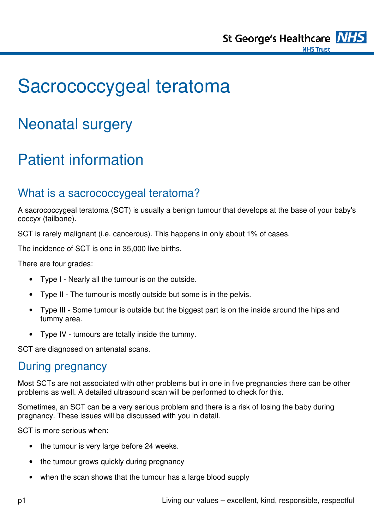

# Sacrococcygeal teratoma

# Neonatal surgery

# Patient information

#### What is a sacrococcygeal teratoma?

A sacrococcygeal teratoma (SCT) is usually a benign tumour that develops at the base of your baby's coccyx (tailbone).

SCT is rarely malignant (i.e. cancerous). This happens in only about 1% of cases.

The incidence of SCT is one in 35,000 live births.

There are four grades:

- Type I Nearly all the tumour is on the outside.
- Type II The tumour is mostly outside but some is in the pelvis.
- Type III Some tumour is outside but the biggest part is on the inside around the hips and tummy area.
- Type IV tumours are totally inside the tummy.

SCT are diagnosed on antenatal scans.

#### During pregnancy

Most SCTs are not associated with other problems but in one in five pregnancies there can be other problems as well. A detailed ultrasound scan will be performed to check for this.

Sometimes, an SCT can be a very serious problem and there is a risk of losing the baby during pregnancy. These issues will be discussed with you in detail.

SCT is more serious when:

- the tumour is very large before 24 weeks.
- the tumour grows quickly during pregnancy
- when the scan shows that the tumour has a large blood supply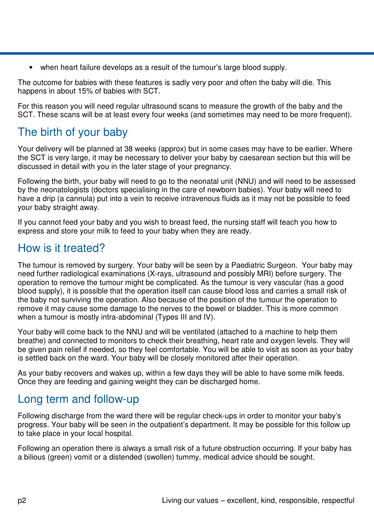• when heart failure develops as a result of the tumour's large blood supply.

The outcome for babies with these features is sadly very poor and often the baby will die. This happens in about 15% of babies with SCT.

For this reason you will need regular ultrasound scans to measure the growth of the baby and the SCT. These scans will be at least every four weeks (and sometimes may need to be more frequent).

### The birth of your baby

Your delivery will be planned at 38 weeks (approx) but in some cases may have to be earlier. Where the SCT is very large, it may be necessary to deliver your baby by caesarean section but this will be discussed in detail with you in the later stage of your pregnancy.

Following the birth, your baby will need to go to the neonatal unit (NNU) and will need to be assessed by the neonatologists (doctors specialising in the care of newborn babies). Your baby will need to have a drip (a cannula) put into a vein to receive intravenous fluids as it may not be possible to feed your baby straight away.

If you cannot feed your baby and you wish to breast feed, the nursing staff will teach you how to express and store your milk to feed to your baby when they are ready.

### How is it treated?

The tumour is removed by surgery. Your baby will be seen by a Paediatric Surgeon. Your baby may need further radiological examinations (X-rays, ultrasound and possibly MRI) before surgery. The operation to remove the tumour might be complicated. As the tumour is very vascular (has a good blood supply), it is possible that the operation itself can cause blood loss and carries a small risk of the baby not surviving the operation. Also because of the position of the tumour the operation to remove it may cause some damage to the nerves to the bowel or bladder. This is more common when a tumour is mostly intra-abdominal (Types III and IV).

Your baby will come back to the NNU and will be ventilated (attached to a machine to help them breathe) and connected to monitors to check their breathing, heart rate and oxygen levels. They will be given pain relief if needed, so they feel comfortable. You will be able to visit as soon as your baby is settled back on the ward. Your baby will be closely monitored after their operation.

As your baby recovers and wakes up, within a few days they will be able to have some milk feeds. Once they are feeding and gaining weight they can be discharged home.

#### Long term and follow-up

Following discharge from the ward there will be regular check-ups in order to monitor your baby's progress. Your baby will be seen in the outpatient's department. It may be possible for this follow up to take place in your local hospital.

Following an operation there is always a small risk of a future obstruction occurring. If your baby has a bilious (green) vomit or a distended (swollen) tummy, medical advice should be sought.